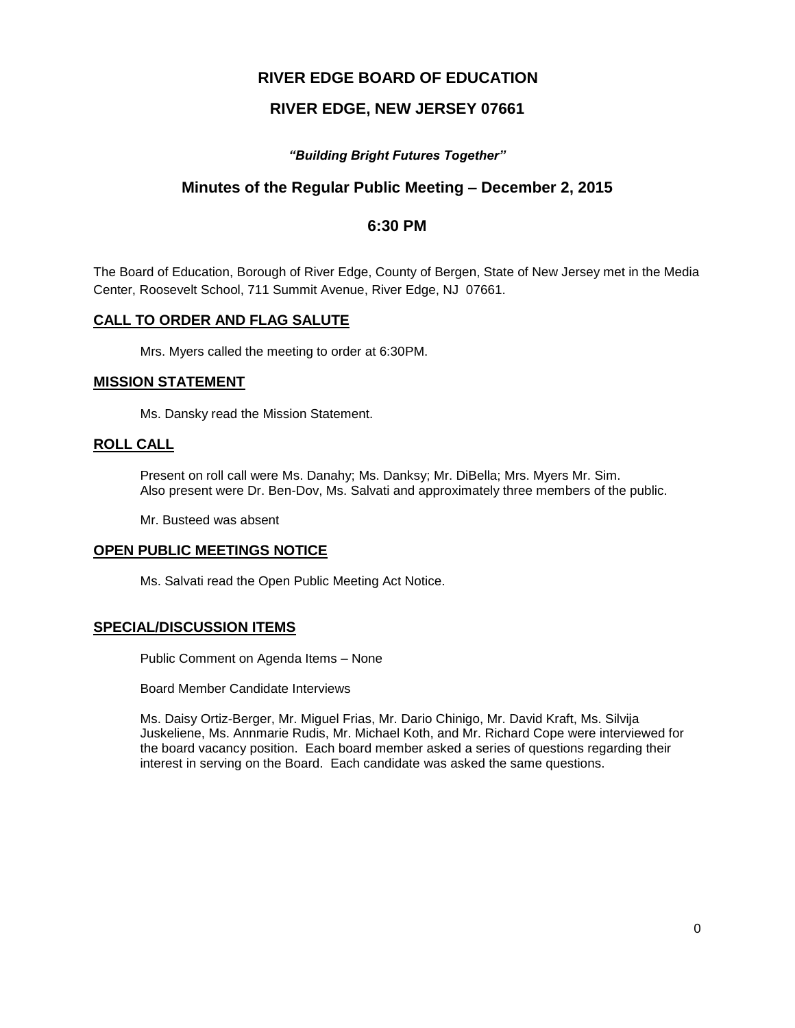# **RIVER EDGE BOARD OF EDUCATION**

# **RIVER EDGE, NEW JERSEY 07661**

# *"Building Bright Futures Together"*

# **Minutes of the Regular Public Meeting – December 2, 2015**

# **6:30 PM**

The Board of Education, Borough of River Edge, County of Bergen, State of New Jersey met in the Media Center, Roosevelt School, 711 Summit Avenue, River Edge, NJ 07661.

## **CALL TO ORDER AND FLAG SALUTE**

Mrs. Myers called the meeting to order at 6:30PM.

### **MISSION STATEMENT**

Ms. Dansky read the Mission Statement.

## **ROLL CALL**

Present on roll call were Ms. Danahy; Ms. Danksy; Mr. DiBella; Mrs. Myers Mr. Sim. Also present were Dr. Ben-Dov, Ms. Salvati and approximately three members of the public.

Mr. Busteed was absent

#### **OPEN PUBLIC MEETINGS NOTICE**

Ms. Salvati read the Open Public Meeting Act Notice.

## **SPECIAL/DISCUSSION ITEMS**

Public Comment on Agenda Items – None

Board Member Candidate Interviews

Ms. Daisy Ortiz-Berger, Mr. Miguel Frias, Mr. Dario Chinigo, Mr. David Kraft, Ms. Silvija Juskeliene, Ms. Annmarie Rudis, Mr. Michael Koth, and Mr. Richard Cope were interviewed for the board vacancy position. Each board member asked a series of questions regarding their interest in serving on the Board. Each candidate was asked the same questions.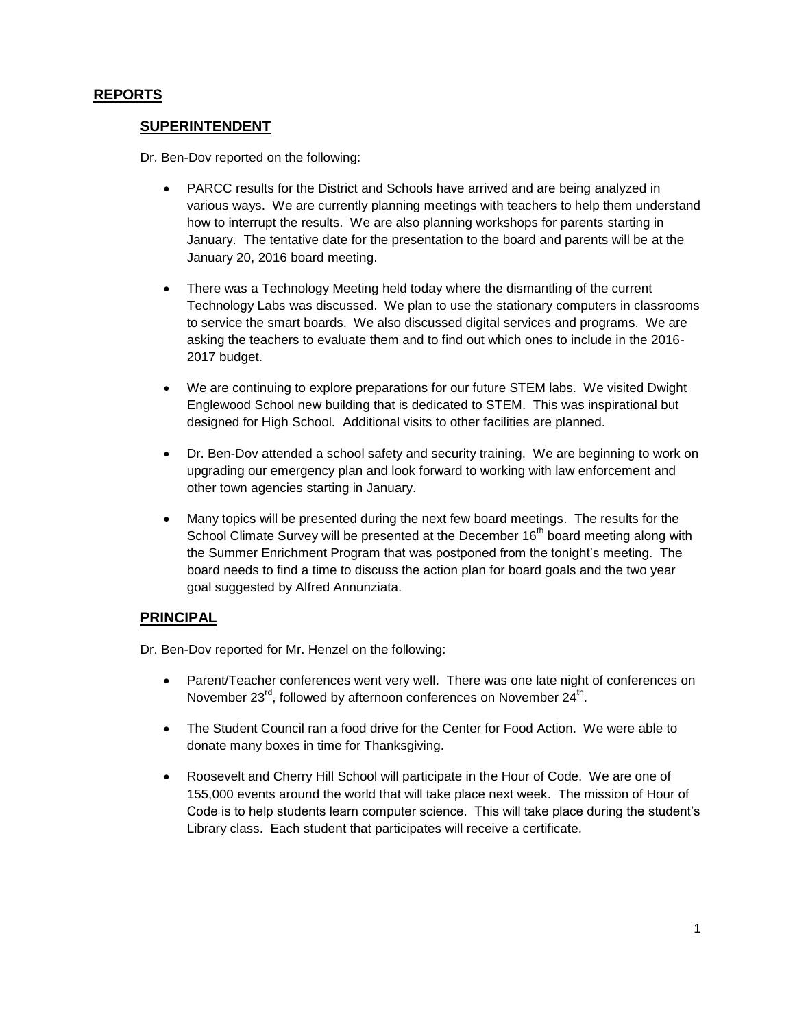# **REPORTS**

## **SUPERINTENDENT**

Dr. Ben-Dov reported on the following:

- PARCC results for the District and Schools have arrived and are being analyzed in various ways. We are currently planning meetings with teachers to help them understand how to interrupt the results. We are also planning workshops for parents starting in January. The tentative date for the presentation to the board and parents will be at the January 20, 2016 board meeting.
- There was a Technology Meeting held today where the dismantling of the current Technology Labs was discussed. We plan to use the stationary computers in classrooms to service the smart boards. We also discussed digital services and programs. We are asking the teachers to evaluate them and to find out which ones to include in the 2016- 2017 budget.
- We are continuing to explore preparations for our future STEM labs. We visited Dwight Englewood School new building that is dedicated to STEM. This was inspirational but designed for High School. Additional visits to other facilities are planned.
- Dr. Ben-Dov attended a school safety and security training. We are beginning to work on upgrading our emergency plan and look forward to working with law enforcement and other town agencies starting in January.
- Many topics will be presented during the next few board meetings. The results for the School Climate Survey will be presented at the December 16<sup>th</sup> board meeting along with the Summer Enrichment Program that was postponed from the tonight's meeting. The board needs to find a time to discuss the action plan for board goals and the two year goal suggested by Alfred Annunziata.

## **PRINCIPAL**

Dr. Ben-Dov reported for Mr. Henzel on the following:

- Parent/Teacher conferences went very well. There was one late night of conferences on November 23 $^{\text{rd}}$ , followed by afternoon conferences on November 24<sup>th</sup>.
- The Student Council ran a food drive for the Center for Food Action. We were able to donate many boxes in time for Thanksgiving.
- Roosevelt and Cherry Hill School will participate in the Hour of Code. We are one of 155,000 events around the world that will take place next week. The mission of Hour of Code is to help students learn computer science. This will take place during the student's Library class. Each student that participates will receive a certificate.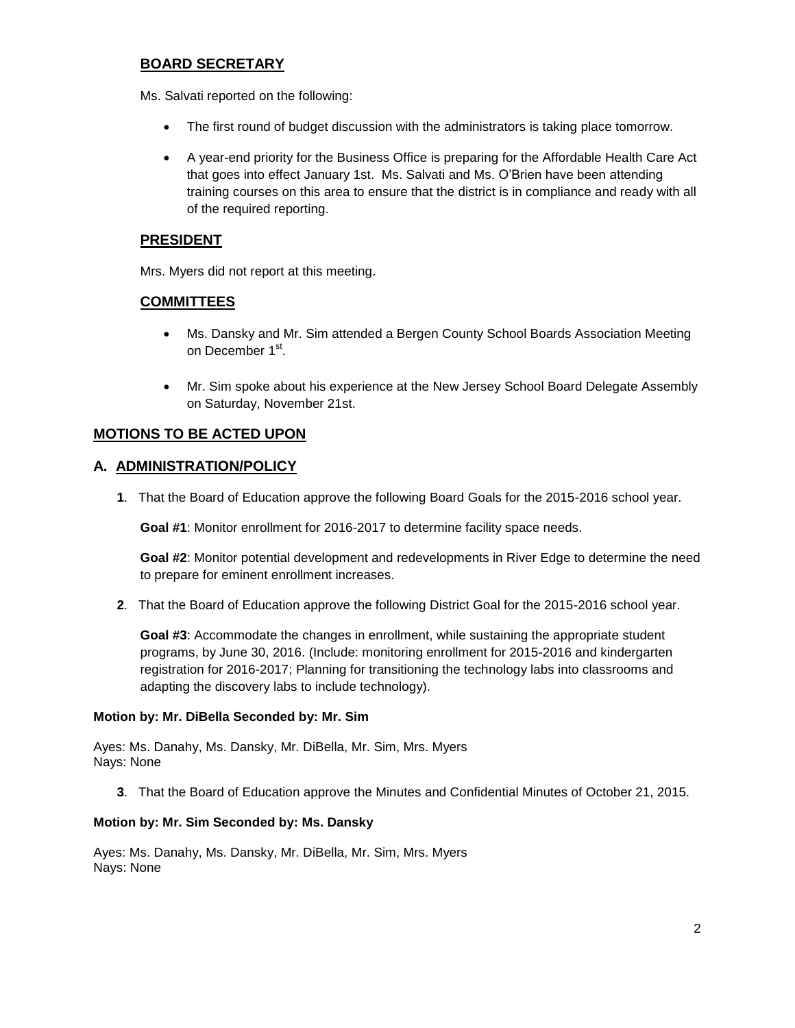# **BOARD SECRETARY**

Ms. Salvati reported on the following:

- The first round of budget discussion with the administrators is taking place tomorrow.
- A year-end priority for the Business Office is preparing for the Affordable Health Care Act that goes into effect January 1st. Ms. Salvati and Ms. O'Brien have been attending training courses on this area to ensure that the district is in compliance and ready with all of the required reporting.

# **PRESIDENT**

Mrs. Myers did not report at this meeting.

## **COMMITTEES**

- Ms. Dansky and Mr. Sim attended a Bergen County School Boards Association Meeting on December 1<sup>st</sup>.
- Mr. Sim spoke about his experience at the New Jersey School Board Delegate Assembly on Saturday, November 21st.

# **MOTIONS TO BE ACTED UPON**

## **A. ADMINISTRATION/POLICY**

**1**. That the Board of Education approve the following Board Goals for the 2015-2016 school year.

**Goal #1**: Monitor enrollment for 2016-2017 to determine facility space needs.

**Goal #2**: Monitor potential development and redevelopments in River Edge to determine the need to prepare for eminent enrollment increases.

**2**. That the Board of Education approve the following District Goal for the 2015-2016 school year.

**Goal #3**: Accommodate the changes in enrollment, while sustaining the appropriate student programs, by June 30, 2016. (Include: monitoring enrollment for 2015-2016 and kindergarten registration for 2016-2017; Planning for transitioning the technology labs into classrooms and adapting the discovery labs to include technology).

#### **Motion by: Mr. DiBella Seconded by: Mr. Sim**

Ayes: Ms. Danahy, Ms. Dansky, Mr. DiBella, Mr. Sim, Mrs. Myers Nays: None

**3**. That the Board of Education approve the Minutes and Confidential Minutes of October 21, 2015.

#### **Motion by: Mr. Sim Seconded by: Ms. Dansky**

Ayes: Ms. Danahy, Ms. Dansky, Mr. DiBella, Mr. Sim, Mrs. Myers Nays: None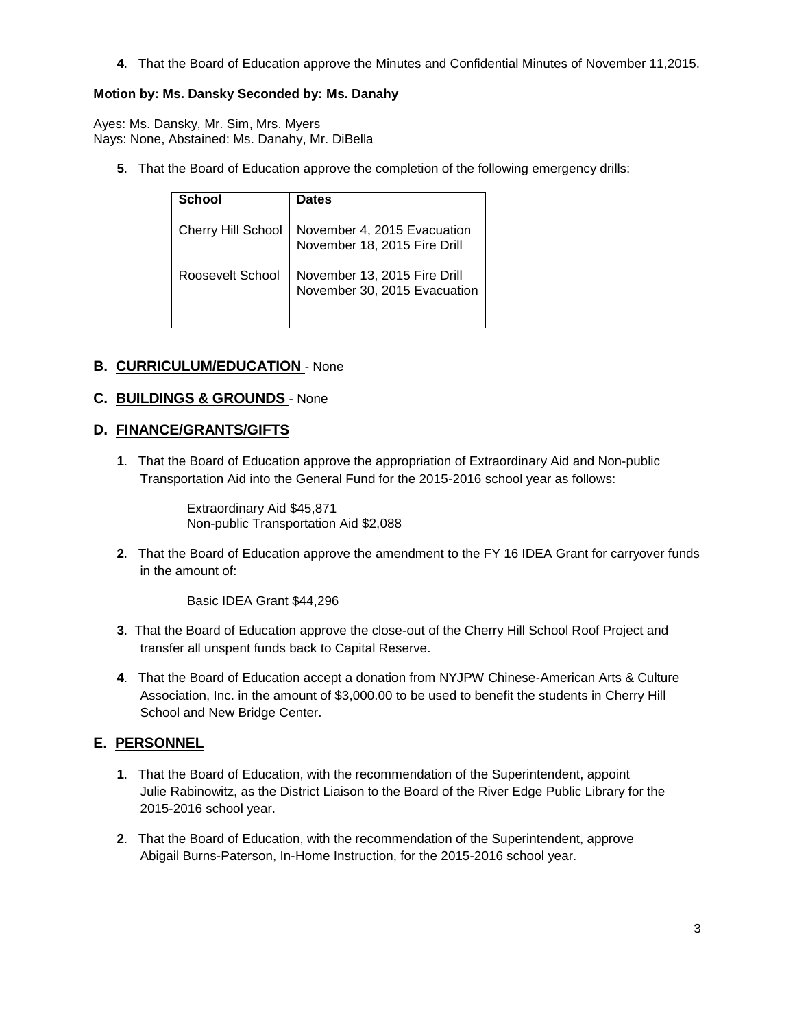**4**. That the Board of Education approve the Minutes and Confidential Minutes of November 11,2015.

# **Motion by: Ms. Dansky Seconded by: Ms. Danahy**

Ayes: Ms. Dansky, Mr. Sim, Mrs. Myers Nays: None, Abstained: Ms. Danahy, Mr. DiBella

**5**. That the Board of Education approve the completion of the following emergency drills:

| School             | <b>Dates</b>                                                 |
|--------------------|--------------------------------------------------------------|
| Cherry Hill School | November 4, 2015 Evacuation<br>November 18, 2015 Fire Drill  |
| Roosevelt School   | November 13, 2015 Fire Drill<br>November 30, 2015 Evacuation |

# **B. CURRICULUM/EDUCATION** - None

## **C. BUILDINGS & GROUNDS** - None

## **D. FINANCE/GRANTS/GIFTS**

**1**. That the Board of Education approve the appropriation of Extraordinary Aid and Non-public Transportation Aid into the General Fund for the 2015-2016 school year as follows:

> Extraordinary Aid \$45,871 Non-public Transportation Aid \$2,088

**2**. That the Board of Education approve the amendment to the FY 16 IDEA Grant for carryover funds in the amount of:

Basic IDEA Grant \$44,296

- **3**. That the Board of Education approve the close-out of the Cherry Hill School Roof Project and transfer all unspent funds back to Capital Reserve.
- **4**. That the Board of Education accept a donation from NYJPW Chinese-American Arts & Culture Association, Inc. in the amount of \$3,000.00 to be used to benefit the students in Cherry Hill School and New Bridge Center.

# **E. PERSONNEL**

- **1**. That the Board of Education, with the recommendation of the Superintendent, appoint Julie Rabinowitz, as the District Liaison to the Board of the River Edge Public Library for the 2015-2016 school year.
- **2**. That the Board of Education, with the recommendation of the Superintendent, approve Abigail Burns-Paterson, In-Home Instruction, for the 2015-2016 school year.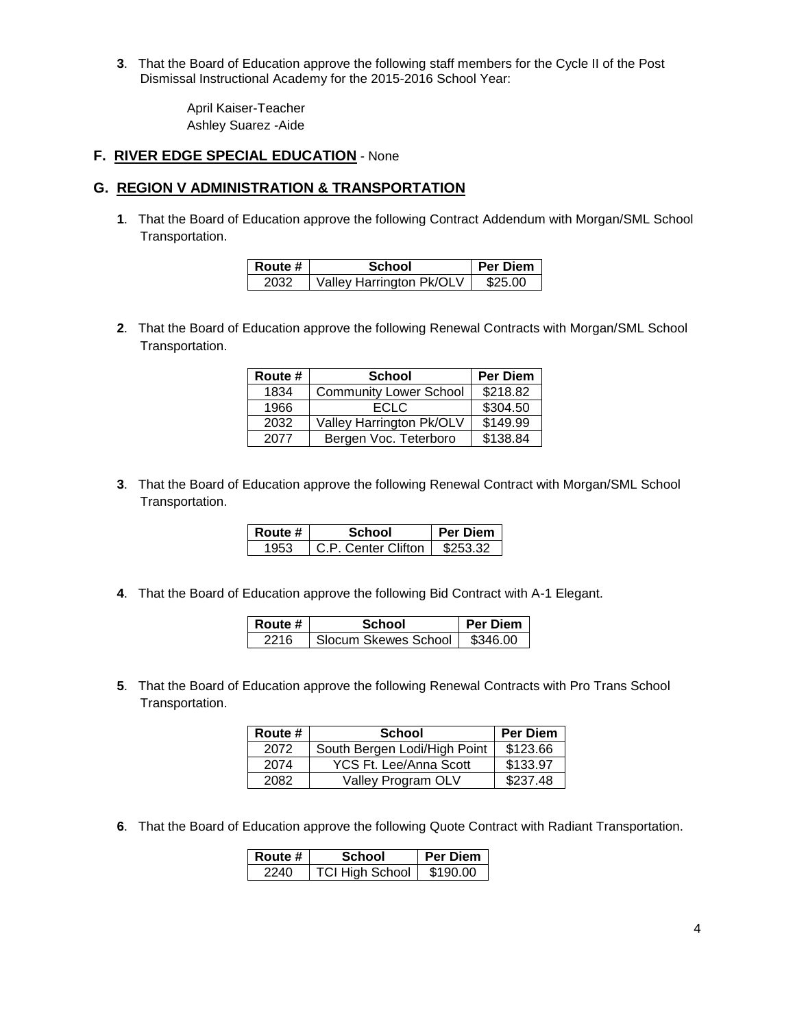**3**. That the Board of Education approve the following staff members for the Cycle II of the Post Dismissal Instructional Academy for the 2015-2016 School Year:

> April Kaiser-Teacher Ashley Suarez -Aide

## **F. RIVER EDGE SPECIAL EDUCATION** - None

## **G. REGION V ADMINISTRATION & TRANSPORTATION**

**1**. That the Board of Education approve the following Contract Addendum with Morgan/SML School Transportation.

| Route # | School                   | <b>Per Diem</b> |
|---------|--------------------------|-----------------|
| 2032    | Valley Harrington Pk/OLV | \$25.00         |

**2**. That the Board of Education approve the following Renewal Contracts with Morgan/SML School Transportation.

| Route # | <b>School</b>                 | <b>Per Diem</b> |
|---------|-------------------------------|-----------------|
| 1834    | <b>Community Lower School</b> | \$218.82        |
| 1966    | <b>ECLC</b>                   | \$304.50        |
| 2032    | Valley Harrington Pk/OLV      | \$149.99        |
| 2077    | Bergen Voc. Teterboro         | \$138.84        |

**3**. That the Board of Education approve the following Renewal Contract with Morgan/SML School Transportation.

| Route # | School              | <b>Per Diem</b> |
|---------|---------------------|-----------------|
|         | C.P. Center Clifton | \$253.32        |

**4**. That the Board of Education approve the following Bid Contract with A-1 Elegant.

| ∣ Route # | School               | <b>Per Diem</b> |
|-----------|----------------------|-----------------|
| 2216      | Slocum Skewes School | \$346.00        |

**5**. That the Board of Education approve the following Renewal Contracts with Pro Trans School Transportation.

| Route # | <b>School</b>                | <b>Per Diem</b> |
|---------|------------------------------|-----------------|
| 2072    | South Bergen Lodi/High Point | \$123.66        |
| 2074    | YCS Ft. Lee/Anna Scott       | \$133.97        |
| 2082    | Valley Program OLV           | \$237.48        |

**6**. That the Board of Education approve the following Quote Contract with Radiant Transportation.

| Route # | School                 | Per Diem |
|---------|------------------------|----------|
| 2240    | <b>TCI High School</b> | \$190.00 |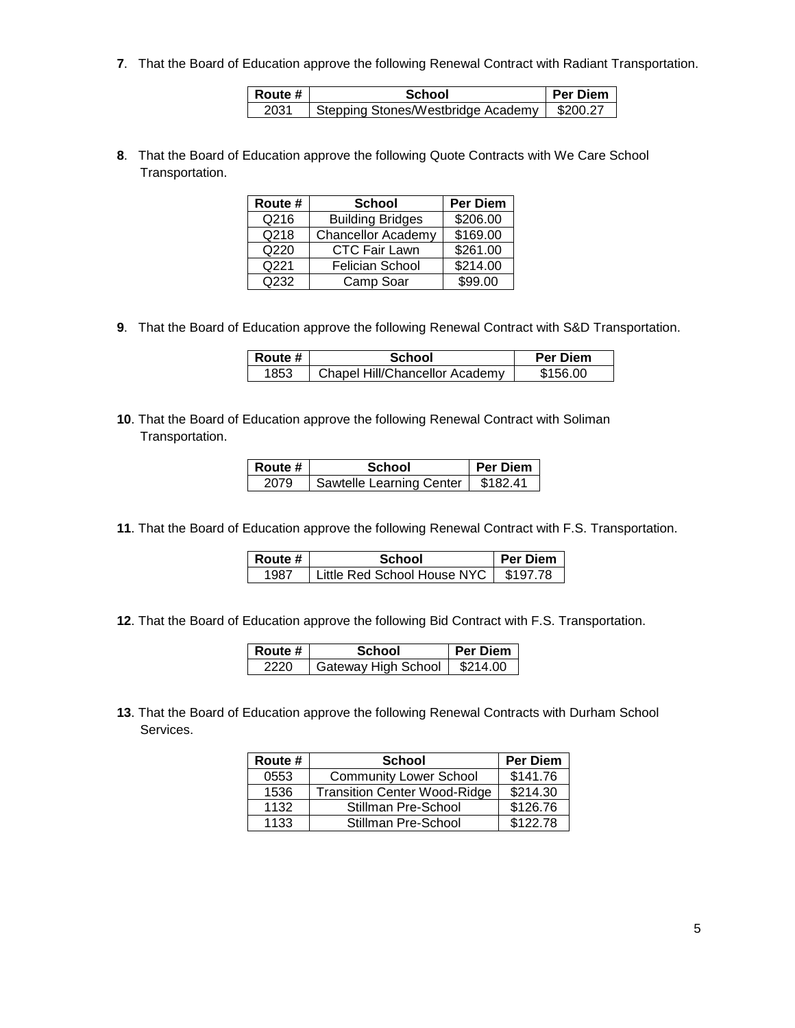**7**. That the Board of Education approve the following Renewal Contract with Radiant Transportation.

| l Route # | School                                        | <b>Per Diem</b> |
|-----------|-----------------------------------------------|-----------------|
| 2031      | Stepping Stones/Westbridge Academy   \$200.27 |                 |

**8**. That the Board of Education approve the following Quote Contracts with We Care School Transportation.

| Route # | <b>School</b>             | <b>Per Diem</b> |
|---------|---------------------------|-----------------|
| Q216    | <b>Building Bridges</b>   | \$206.00        |
| Q218    | <b>Chancellor Academy</b> | \$169.00        |
| Q220    | <b>CTC Fair Lawn</b>      | \$261.00        |
| Q221    | <b>Felician School</b>    | \$214.00        |
| Q232    | Camp Soar                 | \$99.00         |

**9**. That the Board of Education approve the following Renewal Contract with S&D Transportation.

| Route # | School                         | <b>Per Diem</b> |
|---------|--------------------------------|-----------------|
| 1853    | Chapel Hill/Chancellor Academy | \$156.00        |

**10**. That the Board of Education approve the following Renewal Contract with Soliman Transportation.

| <b>Route</b> # | School                   | Per Diem |
|----------------|--------------------------|----------|
| 2079           | Sawtelle Learning Center | \$182.41 |

**11**. That the Board of Education approve the following Renewal Contract with F.S. Transportation.

| Route # | School                        | <b>Per Diem</b> |
|---------|-------------------------------|-----------------|
| 1987    | Little Red School House NYC 1 | \$197.78        |

**12**. That the Board of Education approve the following Bid Contract with F.S. Transportation.

| Route # | School              | Per Diem |
|---------|---------------------|----------|
| 2220    | Gateway High School | \$214.00 |

**13**. That the Board of Education approve the following Renewal Contracts with Durham School Services.

| Route # | <b>School</b>                       | <b>Per Diem</b> |
|---------|-------------------------------------|-----------------|
| 0553    | <b>Community Lower School</b>       | \$141.76        |
| 1536    | <b>Transition Center Wood-Ridge</b> | \$214.30        |
| 1132    | Stillman Pre-School                 | \$126.76        |
| 1133    | Stillman Pre-School                 | \$122.78        |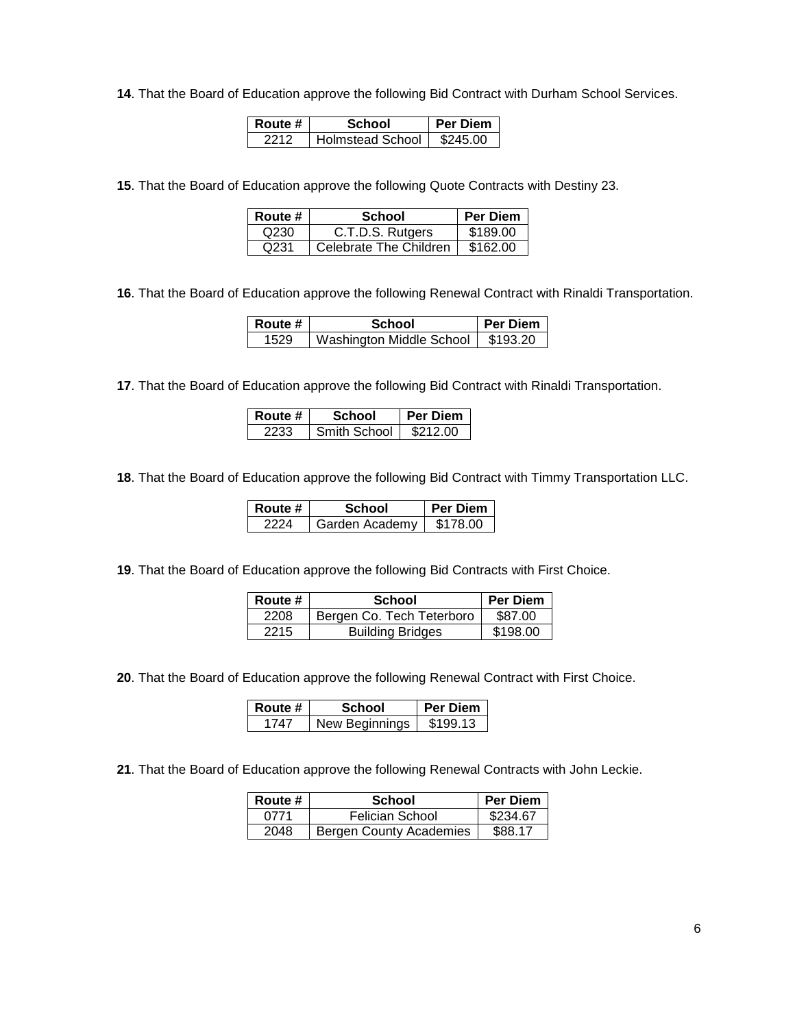. That the Board of Education approve the following Bid Contract with Durham School Services.

| Route # | School                  | <b>Per Diem</b> |
|---------|-------------------------|-----------------|
| 2212    | <b>Holmstead School</b> | \$245.00        |

. That the Board of Education approve the following Quote Contracts with Destiny 23.

| Route # | School                 | <b>Per Diem</b> |
|---------|------------------------|-----------------|
| Q230    | C.T.D.S. Rutgers       | \$189.00        |
| Q231    | Celebrate The Children | \$162.00        |

. That the Board of Education approve the following Renewal Contract with Rinaldi Transportation.

| Route # | School                   | <b>Per Diem</b> |
|---------|--------------------------|-----------------|
| 1529    | Washington Middle School | \$193.20        |

. That the Board of Education approve the following Bid Contract with Rinaldi Transportation.

| Route # | School       | <b>Per Diem</b> |
|---------|--------------|-----------------|
| 2233    | Smith School | \$212.00        |

. That the Board of Education approve the following Bid Contract with Timmy Transportation LLC.

| Route # | School         | Per Diem |
|---------|----------------|----------|
| 2224    | Garden Academy | \$178.00 |

. That the Board of Education approve the following Bid Contracts with First Choice.

| Route # | <b>School</b>             | Per Diem |
|---------|---------------------------|----------|
| 2208    | Bergen Co. Tech Teterboro | \$87.00  |
| 2215    | <b>Building Bridges</b>   | \$198.00 |

. That the Board of Education approve the following Renewal Contract with First Choice.

| Route # | School         | <b>Per Diem</b> |
|---------|----------------|-----------------|
| 1747    | New Beginnings | \$199.13        |

. That the Board of Education approve the following Renewal Contracts with John Leckie.

| Route # | School                  | <b>Per Diem</b> |
|---------|-------------------------|-----------------|
| 0771    | Felician School         | \$234.67        |
| 2048    | Bergen County Academies | \$88.17         |